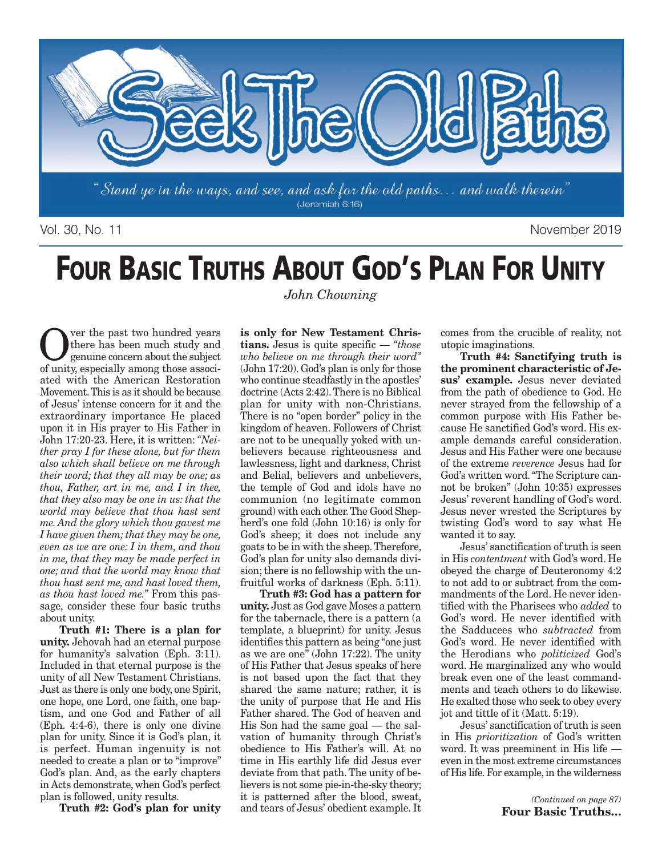

Vol. 30, No. 11 November 2019

# **FOUR BASIC TRUTHS ABOUT GOD'S PLAN FOR UNITY**

*John Chowning*

Over the past two hundred years<br>there has been much study and<br>genuine concern about the subject<br>of unity especially among these association there has been much study and of unity, especially among those associated with the American Restoration Movement. This is as it should be because of Jesus' intense concern for it and the extraordinary importance He placed upon it in His prayer to His Father in John 17:20-23. Here, it is written: *"Neither pray I for these alone, but for them also which shall believe on me through their word; that they all may be one; as thou, Father, art in me, and I in thee, that they also may be one in us: that the world may believe that thou hast sent me. And the glory which thou gavest me I have given them; that they may be one, even as we are one: I in them, and thou in me, that they may be made perfect in one; and that the world may know that thou hast sent me, and hast loved them, as thou hast loved me."* From this passage, consider these four basic truths about unity.

**Truth #1: There is a plan for unity.** Jehovah had an eternal purpose for humanity's salvation (Eph. 3:11). Included in that eternal purpose is the unity of all New Testament Christians. Just as there is only one body, one Spirit, one hope, one Lord, one faith, one baptism, and one God and Father of all (Eph. 4:4-6), there is only one divine plan for unity. Since it is God's plan, it is perfect. Human ingenuity is not needed to create a plan or to "improve" God's plan. And, as the early chapters in Acts demonstrate, when God's perfect plan is followed, unity results.

**Truth #2: God's plan for unity**

**is only for New Testament Christians.** Jesus is quite specific — *"those who believe on me through their word"* (John 17:20). God's plan is only for those who continue steadfastly in the apostles' doctrine (Acts 2:42). There is no Biblical plan for unity with non-Christians. There is no "open border" policy in the kingdom of heaven. Followers of Christ are not to be unequally yoked with unbelievers because righteousness and lawlessness, light and darkness, Christ and Belial, believers and unbelievers, the temple of God and idols have no communion (no legitimate common ground) with each other. The Good Shepherd's one fold (John 10:16) is only for God's sheep; it does not include any goats to be in with the sheep. Therefore, God's plan for unity also demands division; there is no fellowship with the unfruitful works of darkness (Eph. 5:11).

**Truth #3: God has a pattern for unity.** Just as God gave Moses a pattern for the tabernacle, there is a pattern (a template, a blueprint) for unity. Jesus identifies this pattern as being "one just as we are one" (John 17:22). The unity of His Father that Jesus speaks of here is not based upon the fact that they shared the same nature; rather, it is the unity of purpose that He and His Father shared. The God of heaven and His Son had the same goal — the salvation of humanity through Christ's obedience to His Father's will. At no time in His earthly life did Jesus ever deviate from that path. The unity of believers is not some pie-in-the-sky theory; it is patterned after the blood, sweat, and tears of Jesus' obedient example. It

comes from the crucible of reality, not utopic imaginations.

**Truth #4: Sanctifying truth is the prominent characteristic of Jesus' example.** Jesus never deviated from the path of obedience to God. He never strayed from the fellowship of a common purpose with His Father because He sanctified God's word. His example demands careful consideration. Jesus and His Father were one because of the extreme *reverence* Jesus had for God's written word. "The Scripture cannot be broken" (John 10:35) expresses Jesus' reverent handling of God's word. Jesus never wrested the Scriptures by twisting God's word to say what He wanted it to say.

Jesus' sanctification of truth is seen in His *contentment* with God's word. He obeyed the charge of Deuteronomy 4:2 to not add to or subtract from the commandments of the Lord. He never identified with the Pharisees who *added* to God's word. He never identified with the Sadducees who *subtracted* from God's word. He never identified with the Herodians who *politicized* God's word. He marginalized any who would break even one of the least commandments and teach others to do likewise. He exalted those who seek to obey every jot and tittle of it (Matt. 5:19).

Jesus' sanctification of truth is seen in His *prioritization* of God's written word. It was preeminent in His life even in the most extreme circumstances of His life. For example, in the wilderness

> *(Continued on page 87)* **Four Basic Truths…**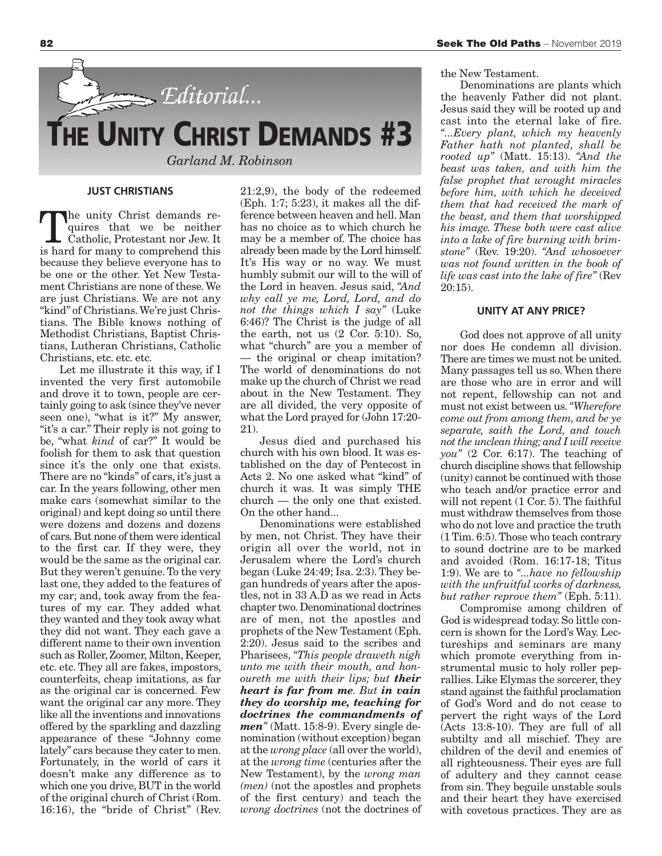

### **JUST CHRISTIANS**

The unity Christ demands requires that we be neither Catholic, Protestant nor Jew. It is hard for many to comprehend this because they believe everyone has to be one or the other. Yet New Testament Christians are none of these. We are just Christians. We are not any "kind" of Christians. We're just Christians. The Bible knows nothing of Methodist Christians, Baptist Christians, Lutheran Christians, Catholic Christians, etc. etc. etc.

Let me illustrate it this way, if I invented the very first automobile and drove it to town, people are certainly going to ask (since they've never seen one), "what is it?" My answer, "it's a car." Their reply is not going to be, "what *kind* of car?" It would be foolish for them to ask that question since it's the only one that exists. There are no "kinds" of cars, it's just a car. In the years following, other men make cars (somewhat similar to the original) and kept doing so until there were dozens and dozens and dozens of cars. But none of them were identical to the first car. If they were, they would be the same as the original car. But they weren't genuine. To the very last one, they added to the features of my car; and, took away from the features of my car. They added what they wanted and they took away what they did not want. They each gave a different name to their own invention such as Roller, Zoomer, Milton, Keeper, etc. etc. They all are fakes, impostors, counterfeits, cheap imitations, as far as the original car is concerned. Few want the original car any more. They like all the inventions and innovations offered by the sparkling and dazzling appearance of these "Johnny come lately" cars because they cater to men. Fortunately, in the world of cars it doesn't make any difference as to which one you drive, BUT in the world of the original church of Christ (Rom. 16:16), the "bride of Christ" (Rev.

21:2,9), the body of the redeemed (Eph. 1:7; 5:23), it makes all the difference between heaven and hell. Man has no choice as to which church he may be a member of. The choice has already been made by the Lord himself. It's His way or no way. We must humbly submit our will to the will of the Lord in heaven. Jesus said, *"And why call ye me, Lord, Lord, and do not the things which I say"* (Luke 6:46)? The Christ is the judge of all the earth, not us (2 Cor. 5:10). So, what "church" are you a member of — the original or cheap imitation? The world of denominations do not make up the church of Christ we read about in the New Testament. They are all divided, the very opposite of what the Lord prayed for (John 17:20- 21).

Jesus died and purchased his church with his own blood. It was established on the day of Pentecost in Acts 2. No one asked what "kind" of church it was. It was simply THE church — the only one that existed. On the other hand...

Denominations were established by men, not Christ. They have their origin all over the world, not in Jerusalem where the Lord's church began (Luke 24:49; Isa. 2:3). They began hundreds of years after the apostles, not in 33 A.D as we read in Acts chapter two. Denominational doctrines are of men, not the apostles and prophets of the New Testament (Eph. 2:20). Jesus said to the scribes and Pharisees, *"This people draweth nigh unto me with their mouth, and honoureth me with their lips; but their heart is far from me. But in vain they do worship me, teaching for doctrines the commandments of men"* (Matt. 15:8-9). Every single denomination (without exception) began at the *wrong place* (all over the world), at the *wrong time* (centuries after the New Testament), by the *wrong man (men)* (not the apostles and prophets of the first century) and teach the *wrong doctrines* (not the doctrines of the New Testament.

Denominations are plants which the heavenly Father did not plant. Jesus said they will be rooted up and cast into the eternal lake of fire. *"...Every plant, which my heavenly Father hath not planted, shall be rooted up"* (Matt. 15:13). *"And the beast was taken, and with him the false prophet that wrought miracles before him, with which he deceived them that had received the mark of the beast, and them that worshipped his image. These both were cast alive into a lake of fire burning with brimstone"* (Rev. 19:20). *"And whosoever was not found written in the book of life was cast into the lake of fire"* (Rev 20:15).

#### **UNITY AT ANY PRICE?**

God does not approve of all unity nor does He condemn all division. There are times we must not be united. Many passages tell us so. When there are those who are in error and will not repent, fellowship can not and must not exist between us. *"Wherefore come out from among them, and be ye separate, saith the Lord, and touch not the unclean thing; and I will receive you"* (2 Cor. 6:17). The teaching of church discipline shows that fellowship (unity) cannot be continued with those who teach and/or practice error and will not repent  $(1 \text{ Cor. } 5)$ . The faithful must withdraw themselves from those who do not love and practice the truth (1 Tim. 6:5). Those who teach contrary to sound doctrine are to be marked and avoided (Rom. 16:17-18; Titus 1:9). We are to *"...have no fellowship with the unfruitful works of darkness, but rather reprove them"* (Eph. 5:11).

Compromise among children of God is widespread today. So little concern is shown for the Lord's Way. Lectureships and seminars are many which promote everything from instrumental music to holy roller peprallies. Like Elymas the sorcerer, they stand against the faithful proclamation of God's Word and do not cease to pervert the right ways of the Lord (Acts 13:8-10). They are full of all subtilty and all mischief. They are children of the devil and enemies of all righteousness. Their eyes are full of adultery and they cannot cease from sin. They beguile unstable souls and their heart they have exercised with covetous practices. They are as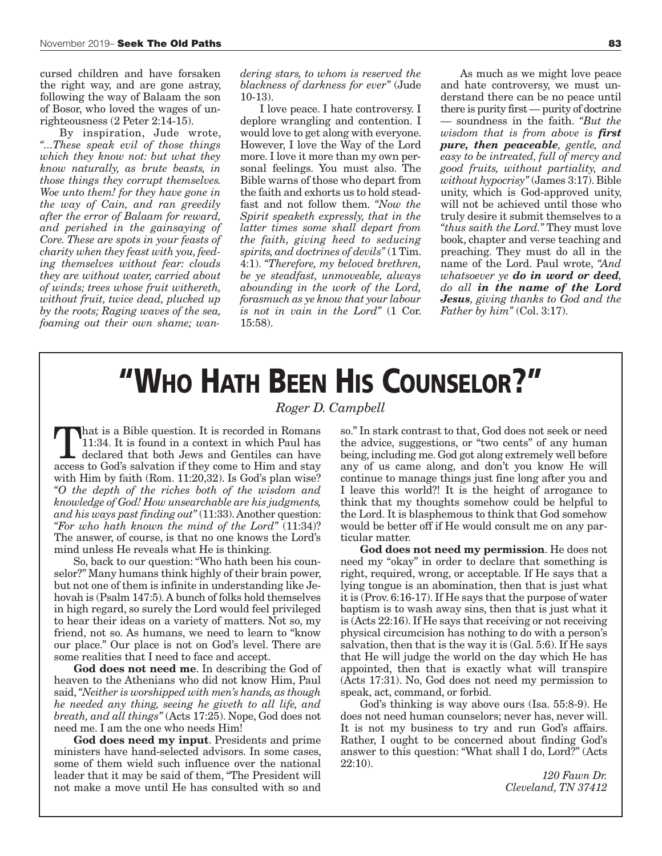cursed children and have forsaken the right way, and are gone astray, following the way of Balaam the son of Bosor, who loved the wages of unrighteousness (2 Peter 2:14-15).

By inspiration, Jude wrote, *"...These speak evil of those things which they know not: but what they know naturally, as brute beasts, in those things they corrupt themselves. Woe unto them! for they have gone in the way of Cain, and ran greedily after the error of Balaam for reward, and perished in the gainsaying of Core. These are spots in your feasts of charity when they feast with you, feeding themselves without fear: clouds they are without water, carried about of winds; trees whose fruit withereth, without fruit, twice dead, plucked up by the roots; Raging waves of the sea, foaming out their own shame; wan-* *dering stars, to whom is reserved the blackness of darkness for ever"* (Jude 10-13).

I love peace. I hate controversy. I deplore wrangling and contention. I would love to get along with everyone. However, I love the Way of the Lord more. I love it more than my own personal feelings. You must also. The Bible warns of those who depart from the faith and exhorts us to hold steadfast and not follow them. *"Now the Spirit speaketh expressly, that in the latter times some shall depart from the faith, giving heed to seducing spirits, and doctrines of devils"* (1 Tim. 4:1). *"Therefore, my beloved brethren, be ye steadfast, unmoveable, always abounding in the work of the Lord, forasmuch as ye know that your labour is not in vain in the Lord"* (1 Cor. 15:58).

As much as we might love peace and hate controversy, we must understand there can be no peace until there is purity first — purity of doctrine — soundness in the faith. *"But the wisdom that is from above is first pure, then peaceable, gentle, and easy to be intreated, full of mercy and good fruits, without partiality, and without hypocrisy"* (James 3:17). Bible unity, which is God-approved unity, will not be achieved until those who truly desire it submit themselves to a *"thus saith the Lord."* They must love book, chapter and verse teaching and preaching. They must do all in the name of the Lord. Paul wrote, *"And whatsoever ye do in word or deed, do all in the name of the Lord Jesus, giving thanks to God and the Father by him"* (Col. 3:17).

## **"WHO HATH BEEN HIS COUNSELOR?"**

### *Roger D. Campbell*

That is a Bible question. It is recorded in Romans<br>11:34. It is found in a context in which Paul has<br>declared that both Jews and Gentiles can have<br>access to God's saluation if they come to Him and stay 11:34. It is found in a context in which Paul has access to God's salvation if they come to Him and stay with Him by faith (Rom. 11:20,32). Is God's plan wise? *"O the depth of the riches both of the wisdom and knowledge of God! How unsearchable are his judgments, and his ways past finding out"* (11:33). Another question: *"For who hath known the mind of the Lord"* (11:34)? The answer, of course, is that no one knows the Lord's mind unless He reveals what He is thinking.

So, back to our question: "Who hath been his counselor?" Many humans think highly of their brain power, but not one of them is infinite in understanding like Jehovah is (Psalm 147:5). A bunch of folks hold themselves in high regard, so surely the Lord would feel privileged to hear their ideas on a variety of matters. Not so, my friend, not so. As humans, we need to learn to "know our place." Our place is not on God's level. There are some realities that I need to face and accept.

**God does not need me**. In describing the God of heaven to the Athenians who did not know Him, Paul said, *"Neither is worshipped with men's hands, as though he needed any thing, seeing he giveth to all life, and breath, and all things"* (Acts 17:25). Nope, God does not need me. I am the one who needs Him!

**God does need my input**. Presidents and prime ministers have hand-selected advisors. In some cases, some of them wield such influence over the national leader that it may be said of them, "The President will not make a move until He has consulted with so and

so." In stark contrast to that, God does not seek or need the advice, suggestions, or "two cents" of any human being, including me. God got along extremely well before any of us came along, and don't you know He will continue to manage things just fine long after you and I leave this world?! It is the height of arrogance to think that my thoughts somehow could be helpful to the Lord. It is blasphemous to think that God somehow would be better off if He would consult me on any particular matter.

**God does not need my permission**. He does not need my "okay" in order to declare that something is right, required, wrong, or acceptable. If He says that a lying tongue is an abomination, then that is just what it is (Prov. 6:16-17). If He says that the purpose of water baptism is to wash away sins, then that is just what it is (Acts 22:16). If He says that receiving or not receiving physical circumcision has nothing to do with a person's salvation, then that is the way it is (Gal. 5:6). If He says that He will judge the world on the day which He has appointed, then that is exactly what will transpire (Acts 17:31). No, God does not need my permission to speak, act, command, or forbid.

God's thinking is way above ours (Isa. 55:8-9). He does not need human counselors; never has, never will. It is not my business to try and run God's affairs. Rather, I ought to be concerned about finding God's answer to this question: "What shall I do, Lord?" (Acts 22:10).

> *120 Fawn Dr. Cleveland, TN 37412*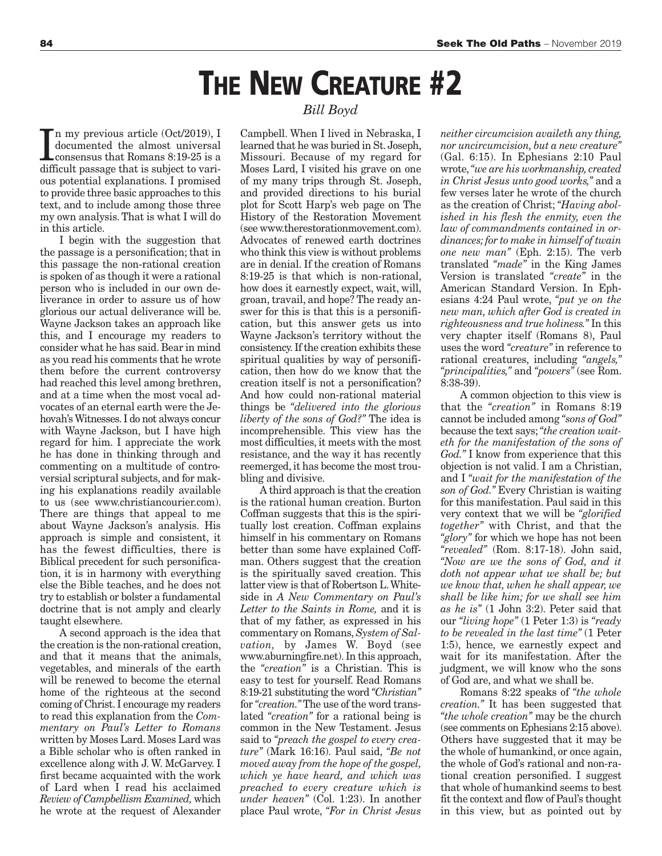# **THE NEW CREATURE #2**

In my previous article (Oct/2019), I<br>documented the almost universal<br>consensus that Romans 8:19-25 is a<br>difficult passage that is subject to varin my previous article (Oct/2019), I documented the almost universal consensus that Romans 8:19-25 is a ous potential explanations. I promised to provide three basic approaches to this text, and to include among those three my own analysis. That is what I will do in this article.

I begin with the suggestion that the passage is a personification; that in this passage the non-rational creation is spoken of as though it were a rational person who is included in our own deliverance in order to assure us of how glorious our actual deliverance will be. Wayne Jackson takes an approach like this, and I encourage my readers to consider what he has said. Bear in mind as you read his comments that he wrote them before the current controversy had reached this level among brethren, and at a time when the most vocal advocates of an eternal earth were the Jehovah's Witnesses. I do not always concur with Wayne Jackson, but I have high regard for him. I appreciate the work he has done in thinking through and commenting on a multitude of controversial scriptural subjects, and for making his explanations readily available to us (see www.christiancourier.com). There are things that appeal to me about Wayne Jackson's analysis. His approach is simple and consistent, it has the fewest difficulties, there is Biblical precedent for such personification, it is in harmony with everything else the Bible teaches, and he does not try to establish or bolster a fundamental doctrine that is not amply and clearly taught elsewhere.

A second approach is the idea that the creation is the non-rational creation, and that it means that the animals, vegetables, and minerals of the earth will be renewed to become the eternal home of the righteous at the second coming of Christ. I encourage my readers to read this explanation from the *Commentary on Paul's Letter to Romans* written by Moses Lard. Moses Lard was a Bible scholar who is often ranked in excellence along with J. W. McGarvey. I first became acquainted with the work of Lard when I read his acclaimed *Review of Campbellism Examined,* which he wrote at the request of Alexander

### *Bill Boyd*

Campbell. When I lived in Nebraska, I learned that he was buried in St. Joseph, Missouri. Because of my regard for Moses Lard, I visited his grave on one of my many trips through St. Joseph, and provided directions to his burial plot for Scott Harp's web page on The History of the Restoration Movement (see www.therestorationmovement.com). Advocates of renewed earth doctrines who think this view is without problems are in denial. If the creation of Romans 8:19-25 is that which is non-rational, how does it earnestly expect, wait, will, groan, travail, and hope? The ready answer for this is that this is a personification, but this answer gets us into Wayne Jackson's territory without the consistency. If the creation exhibits these spiritual qualities by way of personification, then how do we know that the creation itself is not a personification? And how could non-rational material things be *"delivered into the glorious liberty of the sons of God?"* The idea is incomprehensible. This view has the most difficulties, it meets with the most resistance, and the way it has recently reemerged, it has become the most troubling and divisive.

A third approach is that the creation is the rational human creation. Burton Coffman suggests that this is the spiritually lost creation. Coffman explains himself in his commentary on Romans better than some have explained Coffman. Others suggest that the creation is the spiritually saved creation. This latter view is that of Robertson L. Whiteside in *A New Commentary on Paul's Letter to the Saints in Rome,* and it is that of my father, as expressed in his commentary on Romans, *System of Salvation,* by James W. Boyd (see www.aburningfire.net). In this approach, the *"creation"* is a Christian. This is easy to test for yourself. Read Romans 8:19-21 substituting the word *"Christian"* for *"creation."* The use of the word translated *"creation"* for a rational being is common in the New Testament. Jesus said to *"preach the gospel to every creature"* (Mark 16:16). Paul said, *"Be not moved away from the hope of the gospel, which ye have heard, and which was preached to every creature which is under heaven"* (Col. 1:23). In another place Paul wrote, *"For in Christ Jesus*

*neither circumcision availeth any thing, nor uncircumcision, but a new creature"* (Gal. 6:15). In Ephesians 2:10 Paul wrote, *"we are his workmanship, created in Christ Jesus unto good works,"* and a few verses later he wrote of the church as the creation of Christ; *"Having abolished in his flesh the enmity, even the law of commandments contained in ordinances; for to make in himself of twain one new man"* (Eph. 2:15). The verb translated *"made"* in the King James Version is translated *"create"* in the American Standard Version. In Ephesians 4:24 Paul wrote, *"put ye on the new man, which after God is created in righteousness and true holiness."* In this very chapter itself (Romans 8), Paul uses the word *"creature"* in reference to rational creatures, including *"angels," "principalities,"* and *"powers"* (see Rom. 8:38-39).

A common objection to this view is that the *"creation"* in Romans 8:19 cannot be included among *"sons of God"* because the text says; *"the creation waiteth for the manifestation of the sons of God."* I know from experience that this objection is not valid. I am a Christian, and I *"wait for the manifestation of the son of God."* Every Christian is waiting for this manifestation. Paul said in this very context that we will be *"glorified together"* with Christ, and that the *"glory"* for which we hope has not been *"revealed"* (Rom. 8:17-18). John said, *"Now are we the sons of God, and it doth not appear what we shall be; but we know that, when he shall appear, we shall be like him; for we shall see him as he is"* (1 John 3:2). Peter said that our *"living hope"* (1 Peter 1:3) is *"ready to be revealed in the last time"* (1 Peter 1:5), hence, we earnestly expect and wait for its manifestation. After the judgment, we will know who the sons of God are, and what we shall be.

Romans 8:22 speaks of *"the whole creation."* It has been suggested that *"the whole creation"* may be the church (see comments on Ephesians 2:15 above). Others have suggested that it may be the whole of humankind, or once again, the whole of God's rational and non-rational creation personified. I suggest that whole of humankind seems to best fit the context and flow of Paul's thought in this view, but as pointed out by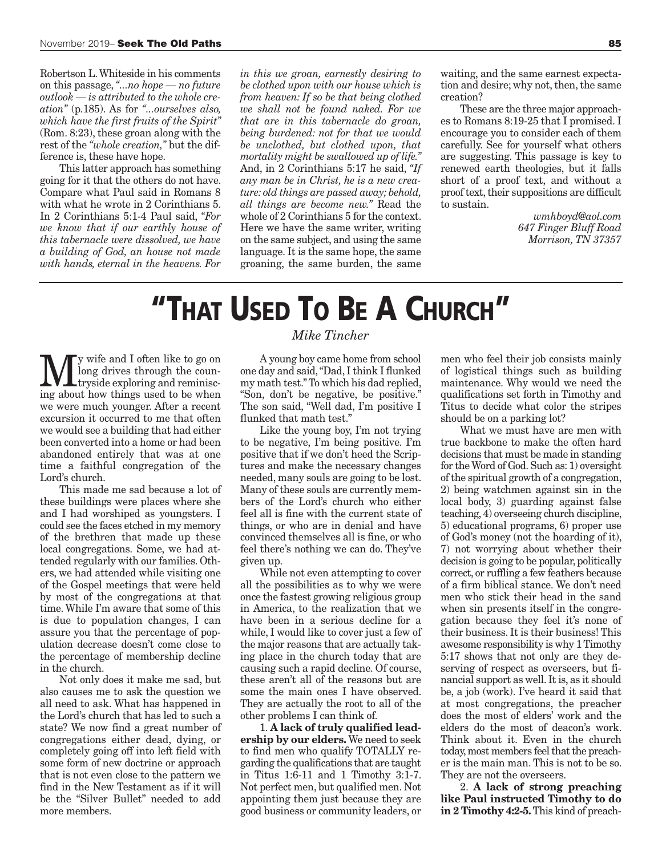Robertson L. Whiteside in his comments on this passage, *"...no hope — no future outlook — is attributed to the whole creation"* (p.185). As for *"...ourselves also, which have the first fruits of the Spirit"* (Rom. 8:23), these groan along with the rest of the *"whole creation,"* but the difference is, these have hope.

This latter approach has something going for it that the others do not have. Compare what Paul said in Romans 8 with what he wrote in 2 Corinthians 5. In 2 Corinthians 5:1-4 Paul said, *"For we know that if our earthly house of this tabernacle were dissolved, we have a building of God, an house not made with hands, eternal in the heavens. For*

*in this we groan, earnestly desiring to be clothed upon with our house which is from heaven: If so be that being clothed we shall not be found naked. For we that are in this tabernacle do groan, being burdened: not for that we would be unclothed, but clothed upon, that mortality might be swallowed up of life."* And, in 2 Corinthians 5:17 he said, *"If any man be in Christ, he is a new creature: old things are passed away; behold, all things are become new."* Read the whole of 2 Corinthians 5 for the context. Here we have the same writer, writing on the same subject, and using the same language. It is the same hope, the same groaning, the same burden, the same

waiting, and the same earnest expectation and desire; why not, then, the same creation?

These are the three major approaches to Romans 8:19-25 that I promised. I encourage you to consider each of them carefully. See for yourself what others are suggesting. This passage is key to renewed earth theologies, but it falls short of a proof text, and without a proof text, their suppositions are difficult to sustain.

> *wmhboyd@aol.com 647 Finger Bluff Road Morrison, TN 37357*

# **"THAT USED TO BE A CHURCH"**

**M** y wife and I often like to go on<br>tryside exploring and reminisc-<br>ing shout how things used to be when long drives through the couning about how things used to be when we were much younger. After a recent excursion it occurred to me that often we would see a building that had either been converted into a home or had been abandoned entirely that was at one time a faithful congregation of the Lord's church.

This made me sad because a lot of these buildings were places where she and I had worshiped as youngsters. I could see the faces etched in my memory of the brethren that made up these local congregations. Some, we had attended regularly with our families. Others, we had attended while visiting one of the Gospel meetings that were held by most of the congregations at that time. While I'm aware that some of this is due to population changes, I can assure you that the percentage of population decrease doesn't come close to the percentage of membership decline in the church.

Not only does it make me sad, but also causes me to ask the question we all need to ask. What has happened in the Lord's church that has led to such a state? We now find a great number of congregations either dead, dying, or completely going off into left field with some form of new doctrine or approach that is not even close to the pattern we find in the New Testament as if it will be the "Silver Bullet" needed to add more members.

### *Mike Tincher*

A young boy came home from school one day and said, "Dad, I think I flunked my math test." To which his dad replied, "Son, don't be negative, be positive." The son said, "Well dad, I'm positive I flunked that math test."

Like the young boy, I'm not trying to be negative, I'm being positive. I'm positive that if we don't heed the Scriptures and make the necessary changes needed, many souls are going to be lost. Many of these souls are currently members of the Lord's church who either feel all is fine with the current state of things, or who are in denial and have convinced themselves all is fine, or who feel there's nothing we can do. They've given up.

While not even attempting to cover all the possibilities as to why we were once the fastest growing religious group in America, to the realization that we have been in a serious decline for a while, I would like to cover just a few of the major reasons that are actually taking place in the church today that are causing such a rapid decline. Of course, these aren't all of the reasons but are some the main ones I have observed. They are actually the root to all of the other problems I can think of.

1. **A lack of truly qualified leadership by our elders.** We need to seek to find men who qualify TOTALLY regarding the qualifications that are taught in Titus 1:6-11 and 1 Timothy 3:1-7. Not perfect men, but qualified men. Not appointing them just because they are good business or community leaders, or

men who feel their job consists mainly of logistical things such as building maintenance. Why would we need the qualifications set forth in Timothy and Titus to decide what color the stripes should be on a parking lot?

What we must have are men with true backbone to make the often hard decisions that must be made in standing for the Word of God. Such as: 1) oversight of the spiritual growth of a congregation, 2) being watchmen against sin in the local body, 3) guarding against false teaching, 4) overseeing church discipline, 5) educational programs, 6) proper use of God's money (not the hoarding of it), 7) not worrying about whether their decision is going to be popular, politically correct, or ruffling a few feathers because of a firm biblical stance. We don't need men who stick their head in the sand when sin presents itself in the congregation because they feel it's none of their business. It is their business! This awesome responsibility is why 1 Timothy 5:17 shows that not only are they deserving of respect as overseers, but financial support as well. It is, as it should be, a job (work). I've heard it said that at most congregations, the preacher does the most of elders' work and the elders do the most of deacon's work. Think about it. Even in the church today, most members feel that the preacher is the main man. This is not to be so. They are not the overseers.

2. **A lack of strong preaching like Paul instructed Timothy to do in 2 Timothy 4:2-5.** This kind of preach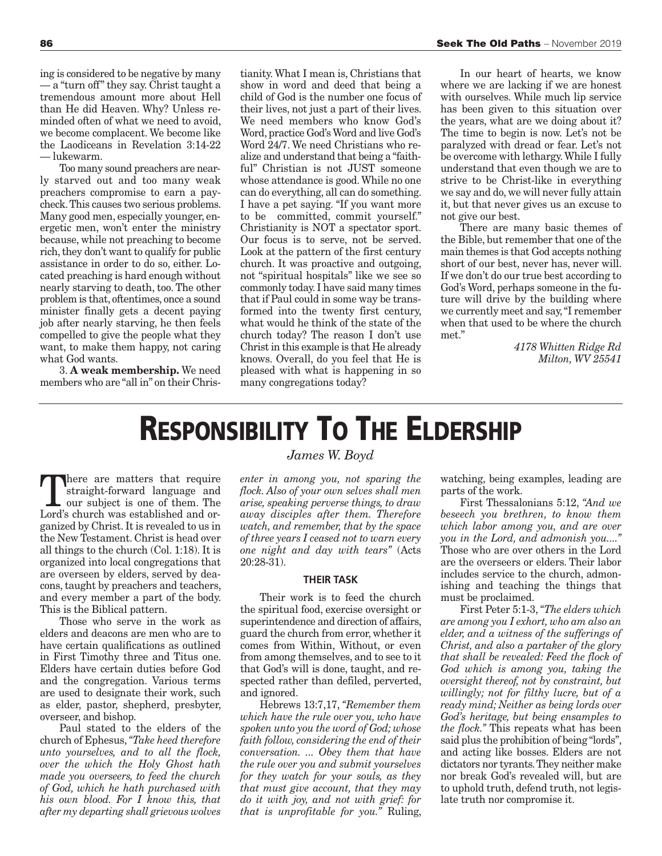ing is considered to be negative by many — a "turn off" they say. Christ taught a tremendous amount more about Hell than He did Heaven. Why? Unless reminded often of what we need to avoid, we become complacent. We become like the Laodiceans in Revelation 3:14-22 — lukewarm.

Too many sound preachers are nearly starved out and too many weak preachers compromise to earn a paycheck. This causes two serious problems. Many good men, especially younger, energetic men, won't enter the ministry because, while not preaching to become rich, they don't want to qualify for public assistance in order to do so, either. Located preaching is hard enough without nearly starving to death, too. The other problem is that, oftentimes, once a sound minister finally gets a decent paying job after nearly starving, he then feels compelled to give the people what they want, to make them happy, not caring what God wants.

3. **A weak membership.** We need members who are "all in" on their Christianity. What I mean is, Christians that show in word and deed that being a child of God is the number one focus of their lives, not just a part of their lives. We need members who know God's Word, practice God's Word and live God's Word 24/7. We need Christians who realize and understand that being a "faithful" Christian is not JUST someone whose attendance is good. While no one can do everything, all can do something. I have a pet saying. "If you want more to be committed, commit yourself." Christianity is NOT a spectator sport. Our focus is to serve, not be served. Look at the pattern of the first century church. It was proactive and outgoing, not "spiritual hospitals" like we see so commonly today. I have said many times that if Paul could in some way be transformed into the twenty first century, what would he think of the state of the church today? The reason I don't use Christ in this example is that He already knows. Overall, do you feel that He is pleased with what is happening in so many congregations today?

In our heart of hearts, we know where we are lacking if we are honest with ourselves. While much lip service has been given to this situation over the years, what are we doing about it? The time to begin is now. Let's not be paralyzed with dread or fear. Let's not be overcome with lethargy. While I fully understand that even though we are to strive to be Christ-like in everything we say and do, we will never fully attain it, but that never gives us an excuse to not give our best.

There are many basic themes of the Bible, but remember that one of the main themes is that God accepts nothing short of our best, never has, never will. If we don't do our true best according to God's Word, perhaps someone in the future will drive by the building where we currently meet and say, "I remember when that used to be where the church met."

> *4178 Whitten Ridge Rd Milton, WV 25541*

### **RESPONSIBILITY TO THE ELDERSHIP**

There are matters that require<br>straight-forward language and<br>our subject is one of them. The<br>Lord's church was established and one straight-forward language and Lord's church was established and organized by Christ. It is revealed to us in the New Testament. Christ is head over all things to the church (Col. 1:18). It is organized into local congregations that are overseen by elders, served by deacons, taught by preachers and teachers, and every member a part of the body. This is the Biblical pattern.

Those who serve in the work as elders and deacons are men who are to have certain qualifications as outlined in First Timothy three and Titus one. Elders have certain duties before God and the congregation. Various terms are used to designate their work, such as elder, pastor, shepherd, presbyter, overseer, and bishop.

Paul stated to the elders of the church of Ephesus, *"Take heed therefore unto yourselves, and to all the flock, over the which the Holy Ghost hath made you overseers, to feed the church of God, which he hath purchased with his own blood. For I know this, that after my departing shall grievous wolves*

#### *James W. Boyd*

*enter in among you, not sparing the flock. Also of your own selves shall men arise, speaking perverse things, to draw away disciples after them. Therefore watch, and remember, that by the space of three years I ceased not to warn every one night and day with tears"* (Acts 20:28-31).

#### **THEIR TASK**

Their work is to feed the church the spiritual food, exercise oversight or superintendence and direction of affairs, guard the church from error, whether it comes from Within, Without, or even from among themselves, and to see to it that God's will is done, taught, and respected rather than defiled, perverted, and ignored.

Hebrews 13:7,17, *"Remember them which have the rule over you, who have spoken unto you the word of God; whose faith follow, considering the end of their conversation. ... Obey them that have the rule over you and submit yourselves for they watch for your souls, as they that must give account, that they may do it with joy, and not with grief: for that is unprofitable for you."* Ruling, watching, being examples, leading are parts of the work.

First Thessalonians 5:12, *"And we beseech you brethren, to know them which labor among you, and are over you in the Lord, and admonish you...."* Those who are over others in the Lord are the overseers or elders. Their labor includes service to the church, admonishing and teaching the things that must be proclaimed.

First Peter 5:1-3, *"The elders which are among you I exhort, who am also an elder, and a witness of the sufferings of Christ, and also a partaker of the glory that shall be revealed: Feed the flock of God which is among you, taking the oversight thereof, not by constraint, but willingly; not for filthy lucre, but of a ready mind; Neither as being lords over God's heritage, but being ensamples to the flock."* This repeats what has been said plus the prohibition of being "lords", and acting like bosses. Elders are not dictators nor tyrants. They neither make nor break God's revealed will, but are to uphold truth, defend truth, not legislate truth nor compromise it.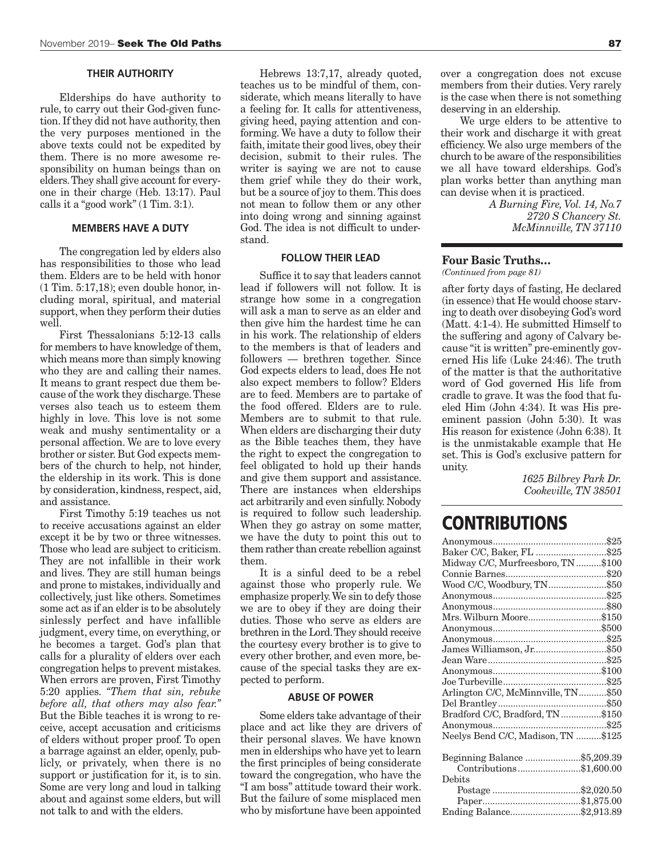#### **THEIR AUTHORITY**

Elderships do have authority to rule, to carry out their God-given function. If they did not have authority, then the very purposes mentioned in the above texts could not be expedited by them. There is no more awesome responsibility on human beings than on elders. They shall give account for everyone in their charge (Heb. 13:17). Paul calls it a "good work" (1 Tim. 3:1).

### **MEMBERS HAVE A DUTY**

The congregation led by elders also has responsibilities to those who lead them. Elders are to be held with honor (1 Tim. 5:17,18); even double honor, including moral, spiritual, and material support, when they perform their duties well.

First Thessalonians 5:12-13 calls for members to have knowledge of them, which means more than simply knowing who they are and calling their names. It means to grant respect due them because of the work they discharge. These verses also teach us to esteem them highly in love. This love is not some weak and mushy sentimentality or a personal affection. We are to love every brother or sister. But God expects members of the church to help, not hinder, the eldership in its work. This is done by consideration, kindness, respect, aid, and assistance.

First Timothy 5:19 teaches us not to receive accusations against an elder except it be by two or three witnesses. Those who lead are subject to criticism. They are not infallible in their work and lives. They are still human beings and prone to mistakes, individually and collectively, just like others. Sometimes some act as if an elder is to be absolutely sinlessly perfect and have infallible judgment, every time, on everything, or he becomes a target. God's plan that calls for a plurality of elders over each congregation helps to prevent mistakes. When errors are proven, First Timothy 5:20 applies. *"Them that sin, rebuke before all, that others may also fear."* But the Bible teaches it is wrong to receive, accept accusation and criticisms of elders without proper proof. To open a barrage against an elder, openly, publicly, or privately, when there is no support or justification for it, is to sin. Some are very long and loud in talking about and against some elders, but will not talk to and with the elders.

Hebrews 13:7,17, already quoted, teaches us to be mindful of them, considerate, which means literally to have a feeling for. It calls for attentiveness, giving heed, paying attention and conforming. We have a duty to follow their faith, imitate their good lives, obey their decision, submit to their rules. The writer is saying we are not to cause them grief while they do their work, but be a source of joy to them. This does not mean to follow them or any other into doing wrong and sinning against God. The idea is not difficult to understand.

#### **FOLLOW THEIR LEAD**

Suffice it to say that leaders cannot lead if followers will not follow. It is strange how some in a congregation will ask a man to serve as an elder and then give him the hardest time he can in his work. The relationship of elders to the members is that of leaders and followers — brethren together. Since God expects elders to lead, does He not also expect members to follow? Elders are to feed. Members are to partake of the food offered. Elders are to rule. Members are to submit to that rule. When elders are discharging their duty as the Bible teaches them, they have the right to expect the congregation to feel obligated to hold up their hands and give them support and assistance. There are instances when elderships act arbitrarily and even sinfully. Nobody is required to follow such leadership. When they go astray on some matter, we have the duty to point this out to them rather than create rebellion against them.

It is a sinful deed to be a rebel against those who properly rule. We emphasize properly. We sin to defy those we are to obey if they are doing their duties. Those who serve as elders are brethren in the Lord. They should receive the courtesy every brother is to give to every other brother, and even more, because of the special tasks they are expected to perform.

#### **ABUSE OF POWER**

Some elders take advantage of their place and act like they are drivers of their personal slaves. We have known men in elderships who have yet to learn the first principles of being considerate toward the congregation, who have the "I am boss" attitude toward their work. But the failure of some misplaced men who by misfortune have been appointed

over a congregation does not excuse members from their duties. Very rarely is the case when there is not something deserving in an eldership.

We urge elders to be attentive to their work and discharge it with great efficiency. We also urge members of the church to be aware of the responsibilities we all have toward elderships. God's plan works better than anything man can devise when it is practiced.

> *A Burning Fire, Vol. 14, No.7 2720 S Chancery St. McMinnville, TN 37110*

#### **Four Basic Truths…**

*(Continued from page 81)*

after forty days of fasting, He declared (in essence) that He would choose starving to death over disobeying God's word (Matt. 4:1-4). He submitted Himself to the suffering and agony of Calvary because "it is written" pre-eminently governed His life (Luke 24:46). The truth of the matter is that the authoritative word of God governed His life from cradle to grave. It was the food that fueled Him (John 4:34). It was His preeminent passion (John 5:30). It was His reason for existence (John 6:38). It is the unmistakable example that He set. This is God's exclusive pattern for unity.

> *1625 Bilbrey Park Dr. Cookeville, TN 38501*

### **CONTRIBUTIONS**

| Baker C/C, Baker, FL \$25          |  |
|------------------------------------|--|
| Midway C/C, Murfreesboro, TN\$100  |  |
|                                    |  |
| Wood C/C, Woodbury, TN\$50         |  |
|                                    |  |
|                                    |  |
| Mrs. Wilburn Moore\$150            |  |
|                                    |  |
|                                    |  |
| James Williamson, Jr\$50           |  |
|                                    |  |
|                                    |  |
|                                    |  |
| Arlington C/C, McMinnville, TN\$50 |  |
|                                    |  |
| Bradford C/C, Bradford, TN\$150    |  |
|                                    |  |
| Neelys Bend C/C, Madison, TN \$125 |  |
|                                    |  |
| Beginning Balance \$5,209.39       |  |
| Contributions\$1,600.00            |  |
| Debits                             |  |
|                                    |  |
|                                    |  |
| Ending Balance\$2,913.89           |  |